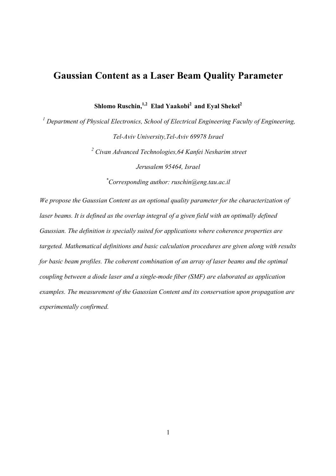# Gaussian Content as a Laser Beam Quality Parameter

Shlomo Ruschin, $^{1,2}$  Elad Yaakobi<sup>2</sup> and Eyal Shekel<sup>2</sup>

<sup>1</sup> Department of Physical Electronics, School of Electrical Engineering Faculty of Engineering, *Tel-Aviv University,Tel-Aviv 69978 Israel* 

> *<sup>2</sup> Civan Advanced Technologies,64 Kanfei Nesharim street Jerusalem 95464, Israel*

*\*Corresponding author: ruschin@eng.tau.ac.il* 

*We propose the Gaussian Content as an optional quality parameter for the characterization of*  laser beams. It is defined as the overlap integral of a given field with an optimally defined *Gaussian. The definition is specially suited for applications where coherence properties are targeted. Mathematical definitions and basic calculation procedures are given along with results for basic beam profiles. The coherent combination of an array of laser beams and the optimal coupling between a diode laser and a single-mode fiber (SMF) are elaborated as application examples. The measurement of the Gaussian Content and its conservation upon propagation are experimentally confirmed.*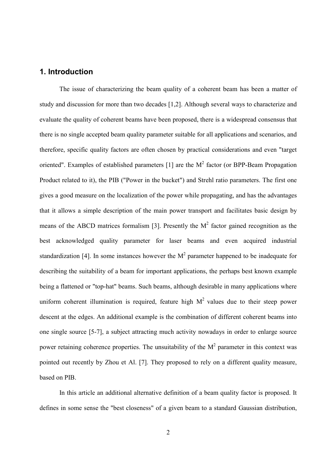# 1. Introduction

The issue of characterizing the beam quality of a coherent beam has been a matter of study and discussion for more than two decades [ 1, 2]. Although several ways to characterize and evaluate the quality of coherent beams have been proposed, there is a widespread consensus that there is no single accepted beam quality parameter suitable for all applications and scenarios, and therefore, specific quality factors are often chosen by practical considerations and even "target oriented". Examples of established parameters [1] are the  $M<sup>2</sup>$  factor (or BPP-Beam Propagation Product related to it), the PIB ("Power in the bucket") and Strehl ratio parameters. The first one gives a good measure on the localization of the power while propagating, and has the advantages that it allows a simple description of the main power transport and facilitates basic design by means of the ABCD matrices formalism [3]. Presently the  $M<sup>2</sup>$  factor gained recognition as the best acknowledged quality parameter for laser beams and even acquired industrial standardization [4]. In some instances however the  $M<sup>2</sup>$  parameter happened to be inadequate for describing the suitability of a beam for important applications, the perhaps best known example being a flattened or "top-hat" beams. Such beams, although desirable in many applications where uniform coherent illumination is required, feature high  $M<sup>2</sup>$  values due to their steep power descent at the edges. An additional example is the combination of different coherent beams into one single source [5-7], a subject attracting much activity nowadays in order to enlarge source power retaining coherence properties. The unsuitability of the  $M<sup>2</sup>$  parameter in this context was pointed out recently by Zhou et Al. [7]. They proposed to rely on a different quality measure, based on PIB.

In this article an additional alternative definition of a beam quality factor is proposed. It defines in some sense the "best closeness" of a given beam to a standard Gaussian distribution,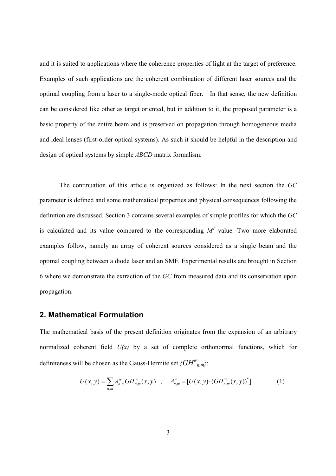and it is suited to applications where the coherence properties of light at the target of preference. Examples of such applications are the coherent combination of different laser sources and the optimal coupling from a laser to a single-mode optical fiber. In that sense, the new definition can be considered like other as target oriented, but in addition to it, the proposed parameter is a basic property of the entire beam and is preserved on propagation through homogeneous media and ideal lenses (first-order optical systems). As such it should be helpful in the description and design of optical systems by simple *ABCD* matrix formalism.

The continuation of this article is organized as follows: In the next section the *GC* parameter is defined and some mathematical properties and physical consequences following the definition are discussed. Section 3 contains several examples of simple profiles for which the *GC* is calculated and its value compared to the corresponding  $M^2$  value. Two more elaborated examples follow, namely an array of coherent sources considered as a single beam and the optimal coupling between a diode laser and an SMF. Experimental results are brought in Section 6 where we demonstrate the extraction of the *GC* from measured data and its conservation upon propagation.

## 2. Mathematical Formulation

The mathematical basis of the present definition originates from the expansion of an arbitrary normalized coherent field  $U(x)$  by a set of complete orthonormal functions, which for definiteness will be chosen as the Gauss-Hermite set  ${fGH}^w_{n,m}$ ?

$$
U(x, y) = \sum_{n,m} A_{n,m}^w GH_{n,m}^w(x, y) , A_{n,m}^w = [U(x, y) \cdot (GH_{n,m}^w(x, y))^*]
$$
 (1)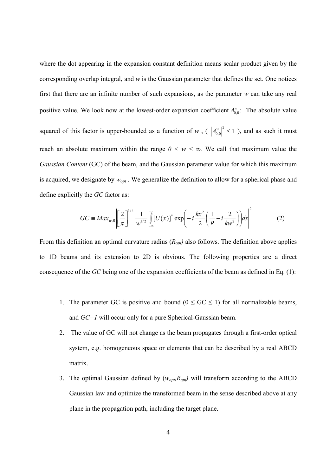where the dot appearing in the expansion constant definition means scalar product given by the corresponding overlap integral, and *w* is the Gaussian parameter that defines the set. One notices first that there are an infinite number of such expansions, as the parameter *w* can take any real positive value. We look now at the lowest-order expansion coefficient  $A_{0,0}^w$ : The absolute value squared of this factor is upper-bounded as a function of *w*, ( $|A_{0,0}^w|^2 \le 1$ ), and as such it must reach an absolute maximum within the range  $0 \leq w \leq \infty$ . We call that maximum value the *Gaussian Content* (GC) of the beam, and the Gaussian parameter value for which this maximum is acquired, we designate by *wopt* . We generalize the definition to allow for a spherical phase and define explicitly the *GC* factor as:

$$
GC \equiv Max_{w,R} \left[ \frac{2}{\pi} \right]^{1/4} \frac{1}{w^{1/2}} \int_{-\infty}^{\infty} \left[ U(x) \right]^* \exp \left( -i \frac{kx^2}{2} \left( \frac{1}{R} - i \frac{2}{kw^2} \right) \right) dx \right]^2 \tag{2}
$$

From this definition an optimal curvature radius  $(R_{opt})$  also follows. The definition above applies to 1D beams and its extension to 2D is obvious. The following properties are a direct consequence of the *GC* being one of the expansion coefficients of the beam as defined in Eq. (1):

- 1. The parameter GC is positive and bound ( $0 \leq$  GC  $\leq$  1) for all normalizable beams, and *GC=1* will occur only for a pure Spherical-Gaussian beam.
- 2. The value of GC will not change as the beam propagates through a first-order optical system, e.g. homogeneous space or elements that can be described by a real ABCD matrix.
- 3. The optimal Gaussian defined by (*wopt,Ropt)* will transform according to the ABCD Gaussian law and optimize the transformed beam in the sense described above at any plane in the propagation path, including the target plane.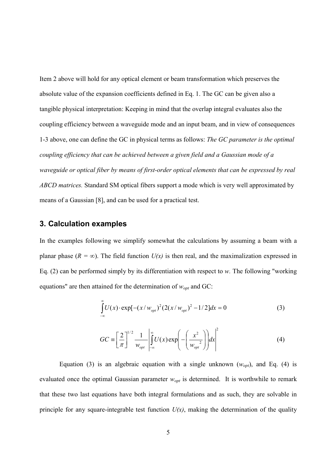Item 2 above will hold for any optical element or beam transformation which preserves the absolute value of the expansion coefficients defined in Eq. 1. The GC can be given also a tangible physical interpretation: Keeping in mind that the overlap integral evaluates also the coupling efficiency between a waveguide mode and an input beam, and in view of consequences 1-3 above, one can define the GC in physical terms as follows: *The GC parameter is the optimal coupling efficiency that can be achieved between a given field and a Gaussian mode of a waveguide or optical fiber by means of first-order optical elements that can be expressed by real ABCD matrices.* Standard SM optical fibers support a mode which is very well approximated by means of a Gaussian [8], and can be used for a practical test.

#### 3. Calculation examples

In the examples following we simplify somewhat the calculations by assuming a beam with a planar phase ( $R = \infty$ ). The field function  $U(x)$  is then real, and the maximalization expressed in Eq. (2) can be performed simply by its differentiation with respect to *w.* The following "working equations" are then attained for the determination of *wopt* and GC:

$$
\int_{-\infty}^{\infty} U(x) \cdot \exp[-(x/w_{opt})^2 (2(x/w_{opt})^2 - 1/2] dx = 0 \tag{3}
$$

$$
GC \equiv \left[\frac{2}{\pi}\right]^{1/2} \frac{1}{w_{opt}} \left| \int_{-\infty}^{\infty} U(x) \exp\left(-\left(\frac{x^2}{w_{opt}}\right)\right) dx \right|^2 \tag{4}
$$

Equation (3) is an algebraic equation with a single unknown  $(w_{opt})$ , and Eq. (4) is evaluated once the optimal Gaussian parameter  $w_{opt}$  is determined. It is worthwhile to remark that these two last equations have both integral formulations and as such, they are solvable in principle for any square-integrable test function  $U(x)$ , making the determination of the quality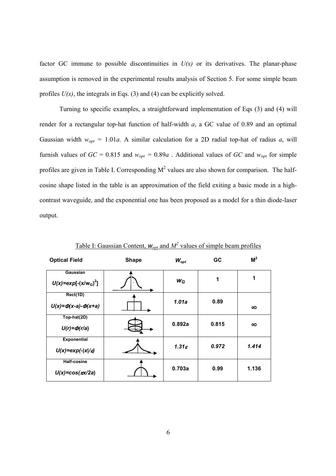factor GC immune to possible discontinuities in  $U(x)$  or its derivatives. The planar-phase assumption is removed in the experimental results analysis of Section 5. For some simple beam profiles  $U(x)$ , the integrals in Eqs. (3) and (4) can be explicitly solved.

 Turning to specific examples, a straightforward implementation of Eqs (3) and (4) will render for a rectangular top-hat function of half-width *a*, a GC value of 0.89 and an optimal Gaussian width  $w_{opt} = 1.01a$ . A similar calculation for a 2D radial top-hat of radius *a*, will furnish values of  $GC = 0.815$  and  $w_{opt} = 0.89a$ . Additional values of  $GC$  and  $w_{opt}$  for simple profiles are given in Table I. Corresponding  $M^2$  values are also shown for comparison. The halfcosine shape listed in the table is an approximation of the field exiting a basic mode in a highcontrast waveguide, and the exponential one has been proposed as a model for a thin diode-laser output.

| <b>Optical Field</b>                     | <b>Shape</b> | $W_{opt}$         | <b>GC</b> | M <sup>2</sup>       |
|------------------------------------------|--------------|-------------------|-----------|----------------------|
| Gaussian<br>$U(x) = exp[-(x/w_{G})^{2}]$ |              | $W_G$             | 1         | $\blacktriangleleft$ |
| Rect(1D)                                 |              |                   |           |                      |
| $U(x) = \Phi(x-a) - \Phi(x+a)$           |              | 1.01a             | 0.89      | $\infty$             |
| Top-hat(2D)                              |              | 0.892a            | 0.815     | $\infty$             |
| $U(r) = \Phi(r/a)$                       |              |                   |           |                      |
| <b>Exponential</b>                       |              |                   | 0.972     | 1.414                |
| $U(x) = exp(- x /\varepsilon)$           |              | $1.31\varepsilon$ |           |                      |
| <b>Half-cosine</b>                       |              |                   |           |                      |
| $U(x) = cos(\pi x/2a)$                   |              | 0.703a            | 0.99      | 1.136                |

Table I: Gaussian Content,  $W_{opt}$  and  $M^2$  values of simple beam profiles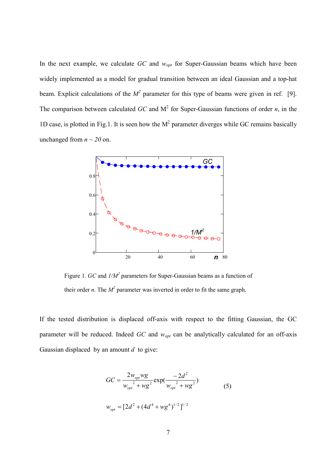In the next example, we calculate *GC* and *wopt* for Super-Gaussian beams which have been widely implemented as a model for gradual transition between an ideal Gaussian and a top-hat beam. Explicit calculations of the  $M^2$  parameter for this type of beams were given in ref. [9]. The comparison between calculated  $GC$  and  $M^2$  for Super-Gaussian functions of order *n*, in the 1D case, is plotted in Fig.1. It is seen how the  $M<sup>2</sup>$  parameter diverges while GC remains basically unchanged from  $n \sim 20$  on.



Figure 1. *GC* and  $1/M^2$  parameters for Super-Gaussian beams as a function of their order *n*. The  $M^2$  parameter was inverted in order to fit the same graph.

If the tested distribution is displaced off-axis with respect to the fitting Gaussian, the GC parameter will be reduced. Indeed *GC* and *wopt* can be analytically calculated for an off-axis Gaussian displaced by an amount *d* to give:

$$
GC = \frac{2w_{opt}wg}{w_{opt}^2 + wg^2} \exp(\frac{-2d^2}{w_{opt}^2 + wg^2})
$$
\n
$$
w_{opt} = [2d^2 + (4d^4 + wg^4)^{1/2}]^{1/2}
$$
\n(5)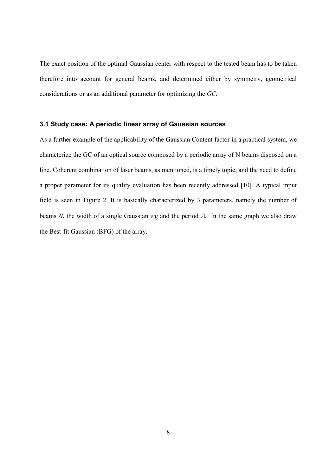The exact position of the optimal Gaussian center with respect to the tested beam has to be taken therefore into account for general beams, and determined either by symmetry, geometrical considerations or as an additional parameter for optimizing the *GC.* 

#### 3.1 Study case: A periodic linear array of Gaussian sources

As a further example of the applicability of the Gaussian Content factor in a practical system, we characterize the GC of an optical source composed by a periodic array of N beams disposed on a line. Coherent combination of laser beams, as mentioned, is a timely topic, and the need to define a proper parameter for its quality evaluation has been recently addressed [ 10]. A typical input field is seen in Figure 2. It is basically characterized by 3 parameters, namely the number of beams *N*, the width of a single Gaussian *w*g and the period <sup>Λ</sup>*.* In the same graph we also draw the Best-fit Gaussian (BFG) of the array.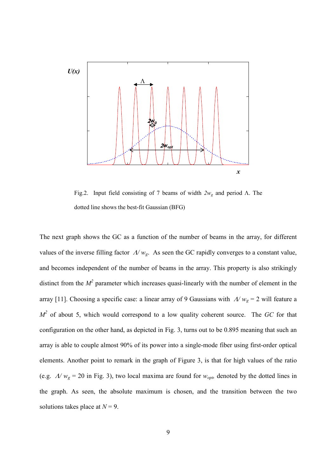

Fig.2. Input field consisting of 7 beams of width *2w<sup>g</sup>* and period Λ. The dotted line shows the best-fit Gaussian (BFG)

The next graph shows the GC as a function of the number of beams in the array, for different values of the inverse filling factor Λ*/ wg*. As seen the GC rapidly converges to a constant value, and becomes independent of the number of beams in the array. This property is also strikingly distinct from the  $M^2$  parameter which increases quasi-linearly with the number of element in the array [ 11]. Choosing a specific case: a linear array of 9 Gaussians with Λ*/ wg* = 2 will feature a *M 2* of about 5, which would correspond to a low quality coherent source. The *GC* for that configuration on the other hand, as depicted in Fig. 3, turns out to be 0.895 meaning that such an array is able to couple almost 90% of its power into a single-mode fiber using first-order optical elements. Another point to remark in the graph of Figure 3, is that for high values of the ratio (e.g.  $\Lambda/w_g = 20$  in Fig. 3), two local maxima are found for  $w_{opb}$  denoted by the dotted lines in the graph. As seen, the absolute maximum is chosen, and the transition between the two solutions takes place at *N* = 9.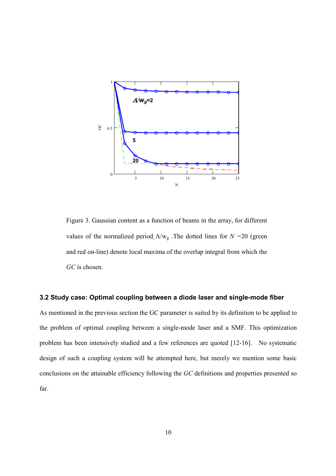

Figure 3. Gaussian content as a function of beams in the array, for different values of the normalized period  $\Lambda/w_g$ . The dotted lines for  $N = 20$  (green and red on-line) denote local maxima of the overlap integral from which the *GC* is chosen.

#### 3.2 Study case: Optimal coupling between a diode laser and single-mode fiber

As mentioned in the previous section the GC parameter is suited by its definition to be applied to the problem of optimal coupling between a single-mode laser and a SMF. This optimization problem has been intensively studied and a few references are quoted [12-16]. No systematic design of such a coupling system will be attempted here, but merely we mention some basic conclusions on the attainable efficiency following the *GC* definitions and properties presented so far.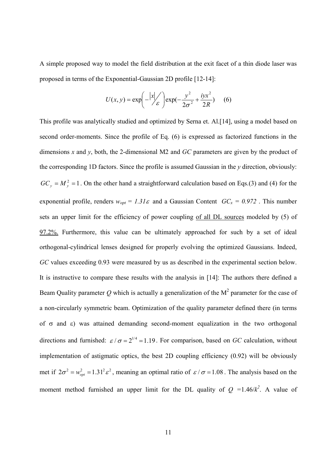A simple proposed way to model the field distribution at the exit facet of a thin diode laser was proposed in terms of the Exponential-Gaussian 2D profile [12-14]:

$$
U(x, y) = \exp\left(-\frac{|x|}{\varepsilon}\right) \exp\left(-\frac{y^2}{2\sigma^2} + \frac{iyx^2}{2R}\right) \quad (6)
$$

This profile was analytically studied and optimized by Serna et. Al.[ 14], using a model based on second order-moments. Since the profile of Eq. (6) is expressed as factorized functions in the dimensions *x* and *y*, both, the 2-dimensional M2 and *GC* parameters are given by the product of the corresponding 1D factors. Since the profile is assumed Gaussian in the *y* direction, obviously:  $GC_y = M_y^2 = 1$ . On the other hand a straightforward calculation based on Eqs.(3) and (4) for the exponential profile, renders  $w_{opt} = 1.31\varepsilon$  and a Gaussian Content  $GC_x = 0.972$ . This number sets an upper limit for the efficiency of power coupling of all DL sources modeled by (5) of 97.2%. Furthermore, this value can be ultimately approached for such by a set of ideal orthogonal-cylindrical lenses designed for properly evolving the optimized Gaussians. Indeed, *GC* values exceeding 0.93 were measured by us as described in the experimental section below. It is instructive to compare these results with the analysis in [ 14]: The authors there defined a Beam Quality parameter  $Q$  which is actually a generalization of the  $M^2$  parameter for the case of a non-circularly symmetric beam. Optimization of the quality parameter defined there (in terms of σ and ε) was attained demanding second-moment equalization in the two orthogonal directions and furnished:  $\epsilon/\sigma = 2^{1/4} = 1.19$ . For comparison, based on *GC* calculation, without implementation of astigmatic optics, the best 2D coupling efficiency (0.92) will be obviously met if  $2\sigma^2 = w_{opt}^2 = 1.31^2 \varepsilon^2$ , meaning an optimal ratio of  $\varepsilon / \sigma = 1.08$ . The analysis based on the moment method furnished an upper limit for the DL quality of  $Q = 1.46/k^2$ . A value of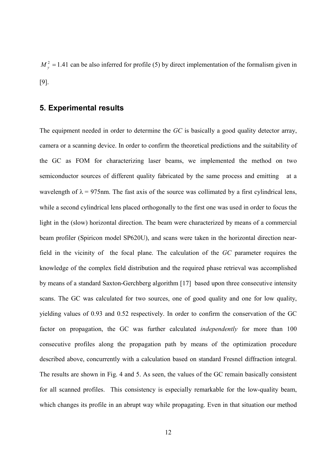$M_{y}^{2} = 1.41$  can be also inferred for profile (5) by direct implementation of the formalism given in [ 9].

# 5. Experimental results

The equipment needed in order to determine the *GC* is basically a good quality detector array, camera or a scanning device. In order to confirm the theoretical predictions and the suitability of the GC as FOM for characterizing laser beams, we implemented the method on two semiconductor sources of different quality fabricated by the same process and emitting wavelength of  $\lambda = 975$ nm. The fast axis of the source was collimated by a first cylindrical lens, while a second cylindrical lens placed orthogonally to the first one was used in order to focus the light in the (slow) horizontal direction. The beam were characterized by means of a commercial beam profiler (Spiricon model SP620U), and scans were taken in the horizontal direction nearfield in the vicinity of the focal plane. The calculation of the *GC* parameter requires the knowledge of the complex field distribution and the required phase retrieval was accomplished by means of a standard Saxton-Gerchberg algorithm [ 17] based upon three consecutive intensity scans. The GC was calculated for two sources, one of good quality and one for low quality, yielding values of 0.93 and 0.52 respectively. In order to confirm the conservation of the GC factor on propagation, the GC was further calculated *independently* for more than 100 consecutive profiles along the propagation path by means of the optimization procedure described above, concurrently with a calculation based on standard Fresnel diffraction integral. The results are shown in Fig. 4 and 5. As seen, the values of the GC remain basically consistent for all scanned profiles. This consistency is especially remarkable for the low-quality beam, which changes its profile in an abrupt way while propagating. Even in that situation our method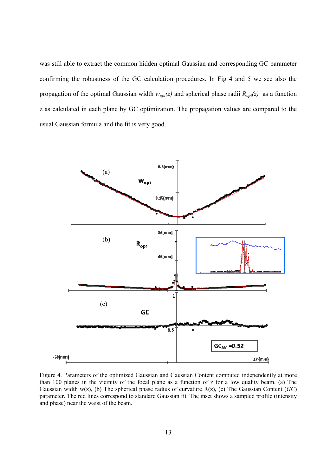was still able to extract the common hidden optimal Gaussian and corresponding GC parameter confirming the robustness of the GC calculation procedures. In Fig 4 and 5 we see also the propagation of the optimal Gaussian width  $w_{opt}(z)$  and spherical phase radii  $R_{opt}(z)$  as a function z as calculated in each plane by GC optimization. The propagation values are compared to the usual Gaussian formula and the fit is very good.



Figure 4. Parameters of the optimized Gaussian and Gaussian Content computed independently at more than 100 planes in the vicinity of the focal plane as a function of z for a low quality beam. (a) The Gaussian width w(z), (b) The spherical phase radius of curvature R(z), (c) The Gaussian Content (*GC*) parameter. The red lines correspond to standard Gaussian fit. The inset shows a sampled profile (intensity and phase) near the waist of the beam.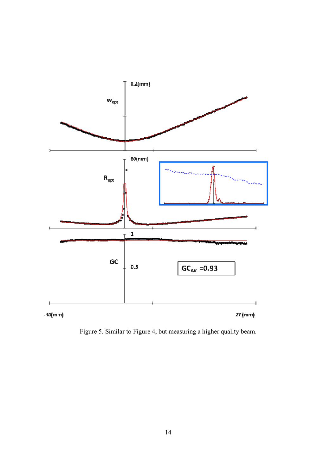

Figure 5. Similar to Figure 4, but measuring a higher quality beam.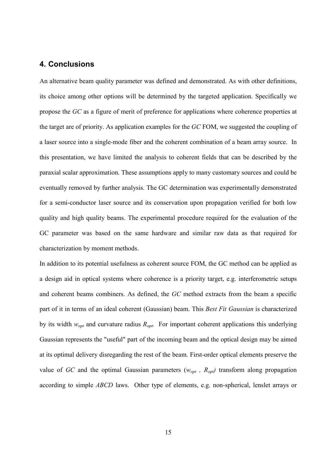## 4. Conclusions

An alternative beam quality parameter was defined and demonstrated. As with other definitions, its choice among other options will be determined by the targeted application. Specifically we propose the *GC* as a figure of merit of preference for applications where coherence properties at the target are of priority. As application examples for the *GC* FOM, we suggested the coupling of a laser source into a single-mode fiber and the coherent combination of a beam array source. In this presentation, we have limited the analysis to coherent fields that can be described by the paraxial scalar approximation. These assumptions apply to many customary sources and could be eventually removed by further analysis. The GC determination was experimentally demonstrated for a semi-conductor laser source and its conservation upon propagation verified for both low quality and high quality beams. The experimental procedure required for the evaluation of the GC parameter was based on the same hardware and similar raw data as that required for characterization by moment methods.

In addition to its potential usefulness as coherent source FOM, the GC method can be applied as a design aid in optical systems where coherence is a priority target, e.g. interferometric setups and coherent beams combiners. As defined, the *GC* method extracts from the beam a specific part of it in terms of an ideal coherent (Gaussian) beam. This *Best Fit Gaussian* is characterized by its width  $w_{opt}$  and curvature radius  $R_{opt}$ . For important coherent applications this underlying Gaussian represents the "useful" part of the incoming beam and the optical design may be aimed at its optimal delivery disregarding the rest of the beam. First-order optical elements preserve the value of *GC* and the optimal Gaussian parameters ( $w_{opt}$ ,  $R_{opt}$ ) transform along propagation according to simple *ABCD* laws.Other type of elements, e.g. non-spherical, lenslet arrays or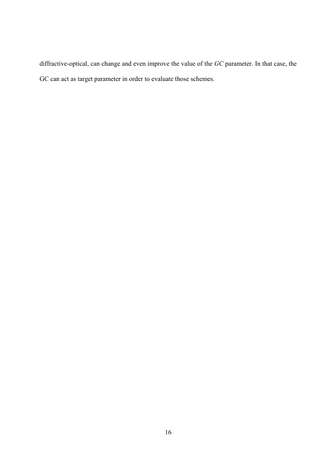diffractive-optical, can change and even improve the value of the *GC* parameter. In that case, the GC can act as target parameter in order to evaluate those schemes.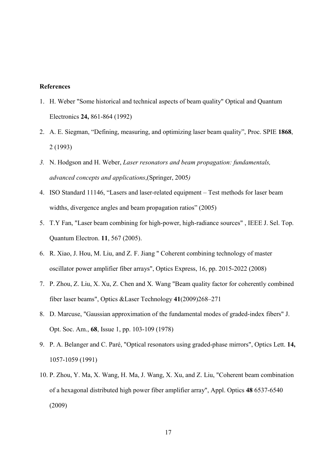## References

- 1. H. Weber "Some historical and technical aspects of beam quality" Optical and Quantum Electronics 24, 861-864 (1992)
- 2. A. E. Siegman, "Defining, measuring, and optimizing laser beam quality", Proc. SPIE 1868, 2 (1993)
- *3.* N. Hodgson and H. Weber, *Laser resonators and beam propagation: fundamentals, advanced concepts and applications*,(Springer, 2005*)*
- 4. ISO Standard 11146, "Lasers and laser-related equipment Test methods for laser beam widths, divergence angles and beam propagation ratios" (2005)
- 5. T.Y Fan, "Laser beam combining for high-power, high-radiance sources" , IEEE J. Sel. Top. Quantum Electron. 11, 567 (2005).
- 6. R. Xiao, J. Hou, M. Liu, and Z. F. Jiang " Coherent combining technology of master oscillator power amplifier fiber arrays", Optics Express, 16, pp. 2015-2022 (2008)
- 7. P. Zhou, Z. Liu, X. Xu, Z. Chen and X. Wang "Beam quality factor for coherently combined fiber laser beams", Optics &Laser Technology 41(2009)268–271
- 8. D. Marcuse, "Gaussian approximation of the fundamental modes of graded-index fibers" J. Opt. Soc. Am., 68, Issue 1, pp. 103-109 (1978)
- 9. P. A. Belanger and C. Paré, "Optical resonators using graded-phase mirrors", Optics Lett. 14, 1057-1059 (1991)
- 10. P. Zhou, Y. Ma, X. Wang, H. Ma, J. Wang, X. Xu, and Z. Liu, "Coherent beam combination of a hexagonal distributed high power fiber amplifier array", Appl. Optics 48 6537-6540 (2009)